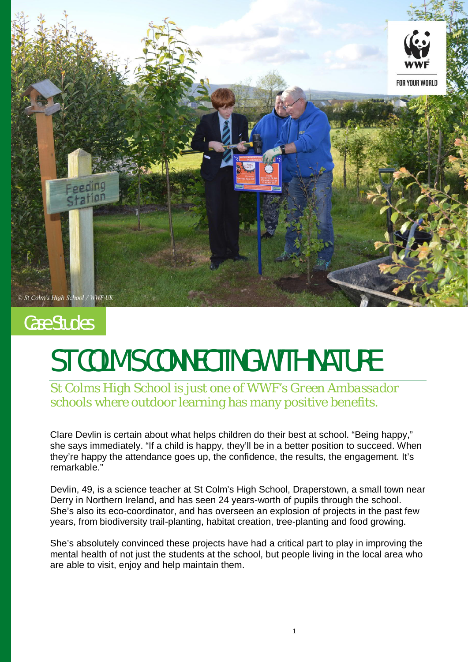

## Case Studies

## ST COLM'S CONNECTING WITH NATURE

St Colms High School is just one of WWF's *Green Ambassador* schools where outdoor learning has many positive benefits.

Clare Devlin is certain about what helps children do their best at school. "Being happy," she says immediately. "If a child is happy, they'll be in a better position to succeed. When they're happy the attendance goes up, the confidence, the results, the engagement. It's remarkable."

Devlin, 49, is a science teacher at St Colm's High School, Draperstown, a small town near Derry in Northern Ireland, and has seen 24 years-worth of pupils through the school. She's also its eco-coordinator, and has overseen an explosion of projects in the past few years, from biodiversity trail-planting, habitat creation, tree-planting and food growing.

She's absolutely convinced these projects have had a critical part to play in improving the mental health of not just the students at the school, but people living in the local area who are able to visit, enjoy and help maintain them.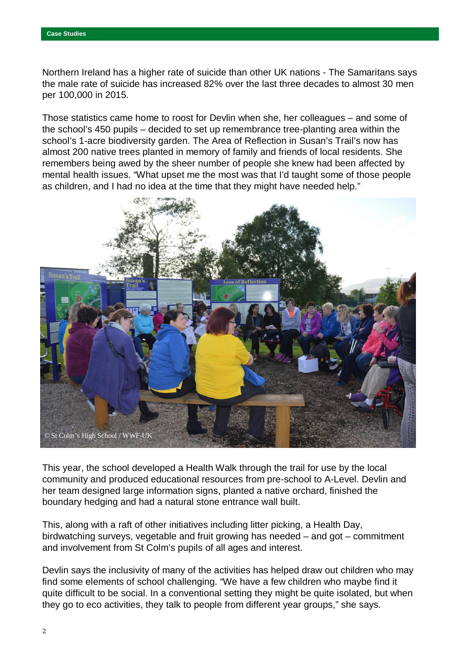Northern Ireland has a higher rate of suicide than other UK nations - The Samaritans says the male rate of suicide has increased 82% over the last three decades to almost 30 men per 100,000 in 2015.

Those statistics came home to roost for Devlin when she, her colleagues – and some of the school's 450 pupils – decided to set up remembrance tree-planting area within the school's 1-acre biodiversity garden. The Area of Reflection in Susan's Trail's now has almost 200 native trees planted in memory of family and friends of local residents. She remembers being awed by the sheer number of people she knew had been affected by mental health issues. "What upset me the most was that I'd taught some of those people as children, and I had no idea at the time that they might have needed help."



This year, the school developed a Health Walk through the trail for use by the local community and produced educational resources from pre-school to A-Level. Devlin and her team designed large information signs, planted a native orchard, finished the boundary hedging and had a natural stone entrance wall built.

This, along with a raft of other initiatives including litter picking, a Health Day, birdwatching surveys, vegetable and fruit growing has needed – and got – commitment and involvement from St Colm's pupils of all ages and interest.

Devlin says the inclusivity of many of the activities has helped draw out children who may find some elements of school challenging. "We have a few children who maybe find it quite difficult to be social. In a conventional setting they might be quite isolated, but when they go to eco activities, they talk to people from different year groups," she says.